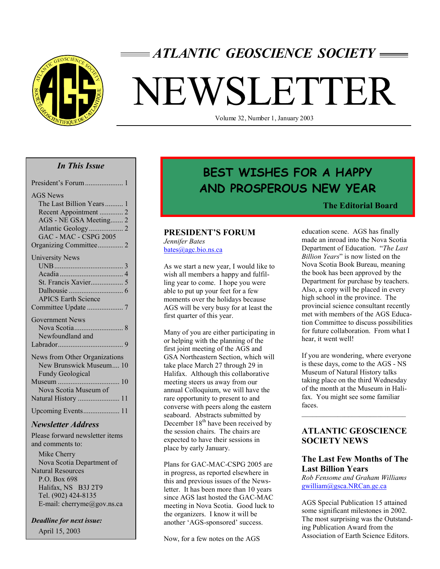

# *ATLANTIC GEOSCIENCE SOCIETY*

# NEWSLETTER

Volume 32, Number 1, January 2003

#### *In This Issue*

| <b>AGS</b> News               |
|-------------------------------|
| The Last Billion Years 1      |
| Recent Appointment  2         |
| AGS - NE GSA Meeting 2        |
|                               |
| <b>GAC - MAC - CSPG 2005</b>  |
| Organizing Committee 2        |
| <b>University News</b>        |
|                               |
|                               |
| St. Francis Xavier 5          |
| Dalhousie                     |
| <b>APICS Earth Science</b>    |
| Committee Update 7            |
| <b>Government News</b>        |
|                               |
| Newfoundland and              |
|                               |
| News from Other Organizations |
| New Brunswick Museum 10       |
| <b>Fundy Geological</b>       |
|                               |
| Nova Scotia Museum of         |
| Natural History  11           |
| Upcoming Events 11            |

# *Newsletter Address*

Please forward newsletter items and comments to:

 Mike Cherry Nova Scotia Department of Natural Resources P.O. Box 698 Halifax, NS B3J 2T9 Tel. (902) 424-8135 E-mail: cherryme@gov.ns.ca

*Deadline for next issue:* April 15, 2003

# **BEST WISHES FOR A HAPPY AND PROSPEROUS NEW YEAR**

#### **The Editorial Board**

#### **PRESIDENT'S FORUM**

*Jennifer Bates*  bates@agc.bio.ns.ca

As we start a new year, I would like to wish all members a happy and fulfilling year to come. I hope you were able to put up your feet for a few moments over the holidays because AGS will be very busy for at least the first quarter of this year.

Many of you are either participating in or helping with the planning of the first joint meeting of the AGS and GSA Northeastern Section, which will take place March 27 through 29 in Halifax. Although this collaborative meeting steers us away from our annual Colloquium, we will have the rare opportunity to present to and converse with peers along the eastern seaboard. Abstracts submitted by December  $18<sup>th</sup>$  have been received by the session chairs. The chairs are expected to have their sessions in place by early January.

Plans for GAC-MAC-CSPG 2005 are in progress, as reported elsewhere in this and previous issues of the Newsletter. It has been more than 10 years since AGS last hosted the GAC-MAC meeting in Nova Scotia. Good luck to the organizers. I know it will be another 'AGS-sponsored' success.

Now, for a few notes on the AGS

education scene. AGS has finally made an inroad into the Nova Scotia Department of Education. "*The Last Billion Years*" is now listed on the Nova Scotia Book Bureau, meaning the book has been approved by the Department for purchase by teachers. Also, a copy will be placed in every high school in the province. The provincial science consultant recently met with members of the AGS Education Committee to discuss possibilities for future collaboration. From what I hear, it went well!

If you are wondering, where everyone is these days, come to the AGS - NS Museum of Natural History talks taking place on the third Wednesday of the month at the Museum in Halifax. You might see some familiar faces.

# **ATLANTIC GEOSCIENCE SOCIETY NEWS**

# **The Last Few Months of The Last Billion Years**

*Rob Fensome and Graham Williams* gwilliam@gsca.NRCan.gc.ca

AGS Special Publication 15 attained some significant milestones in 2002. The most surprising was the Outstanding Publication Award from the Association of Earth Science Editors.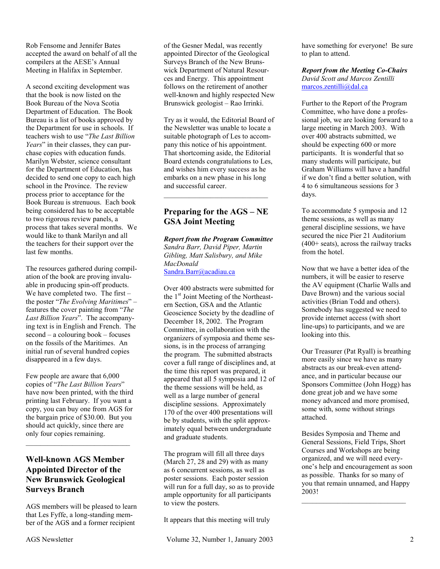Rob Fensome and Jennifer Bates accepted the award on behalf of all the compilers at the AESE's Annual Meeting in Halifax in September.

A second exciting development was that the book is now listed on the Book Bureau of the Nova Scotia Department of Education. The Book Bureau is a list of books approved by the Department for use in schools. If teachers wish to use "*The Last Billion Years*" in their classes, they can purchase copies with education funds. Marilyn Webster, science consultant for the Department of Education, has decided to send one copy to each high school in the Province. The review process prior to acceptance for the Book Bureau is strenuous. Each book being considered has to be acceptable to two rigorous review panels, a process that takes several months. We would like to thank Marilyn and all the teachers for their support over the last few months.

The resources gathered during compilation of the book are proving invaluable in producing spin-off products. We have completed two. The first – the poster "*The Evolving Maritimes*" – features the cover painting from "*The Last Billion Years*". The accompanying text is in English and French. The second – a colouring book – focuses on the fossils of the Maritimes. An initial run of several hundred copies disappeared in a few days.

Few people are aware that 6,000 copies of "*The Last Billion Years*" have now been printed, with the third printing last February. If you want a copy, you can buy one from AGS for the bargain price of \$30.00. But you should act quickly, since there are only four copies remaining.

# **Well-known AGS Member Appointed Director of the New Brunswick Geological Surveys Branch**

AGS members will be pleased to learn that Les Fyffe, a long-standing member of the AGS and a former recipient

of the Gesner Medal, was recently appointed Director of the Geological Surveys Branch of the New Brunswick Department of Natural Resources and Energy. This appointment follows on the retirement of another well-known and highly respected New Brunswick geologist – Rao Irrinki.

Try as it would, the Editorial Board of the Newsletter was unable to locate a suitable photograph of Les to accompany this notice of his appointment. That shortcoming aside, the Editorial Board extends congratulations to Les, and wishes him every success as he embarks on a new phase in his long and successful career.

# **Preparing for the AGS – NE GSA Joint Meeting**

*Report from the Program Committee Sandra Barr, David Piper, Martin Gibling, Matt Salisbury, and Mike MacDonald*  Sandra.Barr@acadiau.ca

Over 400 abstracts were submitted for the  $1<sup>st</sup>$  Joint Meeting of the Northeastern Section, GSA and the Atlantic Geoscience Society by the deadline of December 18, 2002. The Program Committee, in collaboration with the organizers of symposia and theme sessions, is in the process of arranging the program. The submitted abstracts cover a full range of disciplines and, at the time this report was prepared, it appeared that all 5 symposia and 12 of the theme sessions will be held, as well as a large number of general discipline sessions. Approximately 170 of the over 400 presentations will be by students, with the split approximately equal between undergraduate and graduate students.

The program will fill all three days (March 27, 28 and 29) with as many as 6 concurrent sessions, as well as poster sessions. Each poster session will run for a full day, so as to provide ample opportunity for all participants to view the posters.

It appears that this meeting will truly

have something for everyone! Be sure to plan to attend.

#### *Report from the Meeting Co-Chairs David Scott and Marcos Zentilli*  marcos.zentilli@dal.ca

Further to the Report of the Program Committee, who have done a professional job, we are looking forward to a large meeting in March 2003. With over 400 abstracts submitted, we should be expecting 600 or more participants. It is wonderful that so many students will participate, but Graham Williams will have a handful if we don't find a better solution, with 4 to 6 simultaneous sessions for 3 days.

To accommodate 5 symposia and 12 theme sessions, as well as many general discipline sessions, we have secured the nice Pier 21 Auditorium (400+ seats), across the railway tracks from the hotel.

Now that we have a better idea of the numbers, it will be easier to reserve the AV equipment (Charlie Walls and Dave Brown) and the various social activities (Brian Todd and others). Somebody has suggested we need to provide internet access (with short line-ups) to participants, and we are looking into this.

Our Treasurer (Pat Ryall) is breathing more easily since we have as many abstracts as our break-even attendance, and in particular because our Sponsors Committee (John Hogg) has done great job and we have some money advanced and more promised, some with, some without strings attached.

Besides Symposia and Theme and General Sessions, Field Trips, Short Courses and Workshops are being organized, and we will need everyone's help and encouragement as soon as possible. Thanks for so many of you that remain unnamed, and Happy 2003!

\_\_\_\_\_\_\_\_\_\_\_\_\_\_\_\_\_\_\_\_\_\_\_\_\_\_\_\_\_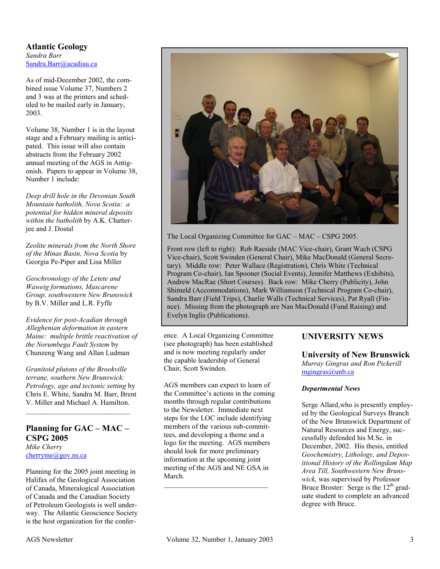**Atlantic Geology**  *Sandra Barr*  Sandra.Barr@acadiau.ca

As of mid-December 2002, the combined issue Volume 37, Numbers 2 and 3 was at the printers and scheduled to be mailed early in January, 2003.

Volume 38, Number 1 is in the layout stage and a February mailing is anticipated. This issue will also contain abstracts from the February 2002 annual meeting of the AGS in Antigonish. Papers to appear in Volume 38, Number 1 include:

*Deep drill hole in the Devonian South Mountain batholith, Nova Scotia: a potential for hidden mineral deposits within the batholith* by A.K. Chatterjee and J. Dostal

*Zeolite minerals from the North Shore of the Minas Basin, Nova Scotia* by Georgia Pe-Piper and Lisa Miller

*Geochronology of the Letete and Waweig formations, Mascarene Group, southwestern New Brunswick* by B.V. Miller and L.R. Fyffe

*Evidence for post-Acadian through Alleghenian deformation in eastern Maine: multiple brittle reactivation of the Norumbega Fault System* by Chunzeng Wang and Allan Ludman

*Granitoid plutons of the Brookville terrane, southern New Brunswick: Petrology, age and tectonic setting* by Chris E. White, Sandra M. Barr, Brent V. Miller and Michael A. Hamilton.

#### **Planning for GAC – MAC – CSPG 2005**  *Mike Cherry*  cherryme@gov.ns.ca

 $\mathcal{L}_\text{max}$ 

Planning for the 2005 joint meeting in Halifax of the Geological Association of Canada, Mineralogical Association of Canada and the Canadian Society of Petroleum Geologists is well underway. The Atlantic Geoscience Society is the host organization for the confer-



The Local Organizing Committee for GAC – MAC – CSPG 2005.

Front row (left to right): Rob Raeside (MAC Vice-chair), Grant Wach (CSPG Vice-chair), Scott Swinden (General Chair), Mike MacDonald (General Secretary). Middle row: Peter Wallace (Registration), Chris White (Technical Program Co-chair), Ian Spooner (Social Events), Jennifer Matthews (Exhibits), Andrew MacRae (Short Courses). Back row: Mike Cherry (Publicity), John Shimeld (Accommodations), Mark Williamson (Technical Program Co-chair), Sandra Barr (Field Trips), Charlie Walls (Technical Services), Pat Ryall (Finnce). Missing from the photograph are Nan MacDonald (Fund Raising) and Evelyn Inglis (Publications).

ence. A Local Organizing Committee (see photograph) has been established and is now meeting regularly under the capable leadership of General Chair, Scott Swinden.

AGS members can expect to learn of the Committee's actions in the coming months through regular contributions to the Newsletter. Immediate next steps for the LOC include identifying members of the various sub-committees, and developing a theme and a logo for the meeting. AGS members should look for more preliminary information at the upcoming joint meeting of the AGS and NE GSA in March.

\_\_\_\_\_\_\_\_\_\_\_\_\_\_\_\_\_\_\_\_\_\_\_\_\_\_\_\_\_

# **UNIVERSITY NEWS**

#### **University of New Brunswick**

*Murray Gingras and Ron Pickerill*  mgingras@unb.ca

#### *Departmental News*

Serge Allard,who is presently employed by the Geological Surveys Branch of the New Brunswick Department of Natural Resources and Energy, successfully defended his M.Sc. in December, 2002. His thesis, entitled *Geochemistry, Lithology, and Depositional History of the Rollingdam Map Area Till, Southwestern New Brunswick*, was supervised by Professor Bruce Broster: Serge is the  $12<sup>th</sup>$  graduate student to complete an advanced degree with Bruce.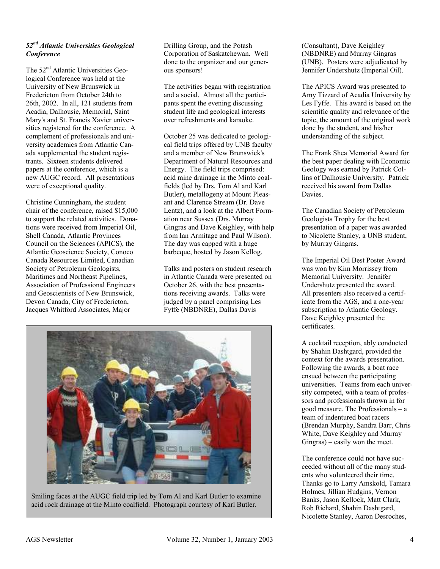#### *52nd Atlantic Universities Geological Conference*

The 52<sup>nd</sup> Atlantic Universities Geological Conference was held at the University of New Brunswick in Fredericton from October 24th to 26th, 2002. In all, 121 students from Acadia, Dalhousie, Memorial, Saint Mary's and St. Francis Xavier universities registered for the conference. A complement of professionals and university academics from Atlantic Canada supplemented the student registrants. Sixteen students delivered papers at the conference, which is a new AUGC record. All presentations were of exceptional quality.

Christine Cunningham, the student chair of the conference, raised \$15,000 to support the related activities. Donations were received from Imperial Oil, Shell Canada, Atlantic Provinces Council on the Sciences (APICS), the Atlantic Geoscience Society, Conoco Canada Resources Limited, Canadian Society of Petroleum Geologists, Maritimes and Northeast Pipelines, Association of Professional Engineers and Geoscientists of New Brunswick, Devon Canada, City of Fredericton, Jacques Whitford Associates, Major

Drilling Group, and the Potash Corporation of Saskatchewan. Well done to the organizer and our generous sponsors!

The activities began with registration and a social. Almost all the participants spent the evening discussing student life and geological interests over refreshments and karaoke.

October 25 was dedicated to geological field trips offered by UNB faculty and a member of New Brunswick's Department of Natural Resources and Energy. The field trips comprised: acid mine drainage in the Minto coalfields (led by Drs. Tom Al and Karl Butler), metallogeny at Mount Pleasant and Clarence Stream (Dr. Dave Lentz), and a look at the Albert Formation near Sussex (Drs. Murray Gingras and Dave Keighley, with help from Ian Armitage and Paul Wilson). The day was capped with a huge barbeque, hosted by Jason Kellog.

Talks and posters on student research in Atlantic Canada were presented on October 26, with the best presentations receiving awards. Talks were judged by a panel comprising Les Fyffe (NBDNRE), Dallas Davis



Smiling faces at the AUGC field trip led by Tom Al and Karl Butler to examine acid rock drainage at the Minto coalfield. Photograph courtesy of Karl Butler.

(Consultant), Dave Keighley (NBDNRE) and Murray Gingras (UNB). Posters were adjudicated by Jennifer Undershutz (Imperial Oil).

The APICS Award was presented to Amy Tizzard of Acadia University by Les Fyffe. This award is based on the scientific quality and relevance of the topic, the amount of the original work done by the student, and his/her understanding of the subject.

The Frank Shea Memorial Award for the best paper dealing with Economic Geology was earned by Patrick Collins of Dalhousie University. Patrick received his award from Dallas **Davies**.

The Canadian Society of Petroleum Geologists Trophy for the best presentation of a paper was awarded to Nicolette Stanley, a UNB student, by Murray Gingras.

The Imperial Oil Best Poster Award was won by Kim Morrissey from Memorial University. Jennifer Undershutz presented the award. All presenters also received a certificate from the AGS, and a one-year subscription to Atlantic Geology. Dave Keighley presented the certificates.

A cocktail reception, ably conducted by Shahin Dashtgard, provided the context for the awards presentation. Following the awards, a boat race ensued between the participating universities. Teams from each university competed, with a team of professors and professionals thrown in for good measure. The Professionals – a team of indentured boat racers (Brendan Murphy, Sandra Barr, Chris White, Dave Keighley and Murray Gingras) – easily won the meet.

The conference could not have succeeded without all of the many students who volunteered their time. Thanks go to Larry Amskold, Tamara Holmes, Jillian Hudgins, Vernon Banks, Jason Kellock, Matt Clark, Rob Richard, Shahin Dashtgard, Nicolette Stanley, Aaron Desroches,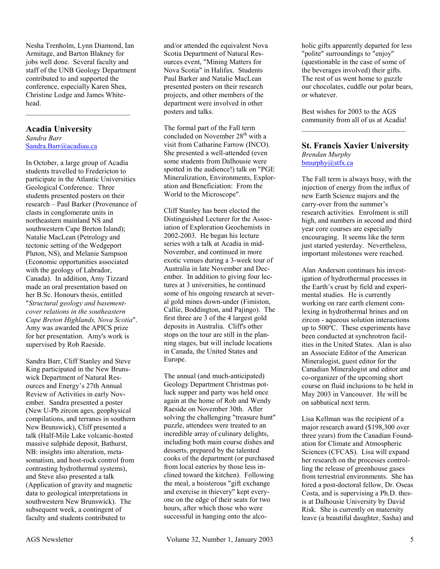Nesha Trenholm, Lynn Diamond, Ian Armitage, and Barton Blakney for jobs well done. Several faculty and staff of the UNB Geology Department contributed to and supported the conference, especially Karen Shea, Christine Lodge and James Whitehead.

#### **Acadia University**

*Sandra Barr*  Sandra.Barr@acadiau.ca

In October, a large group of Acadia students travelled to Fredericton to participate in the Atlantic Universities Geological Conference. Three students presented posters on their research – Paul Barker (Provenance of clasts in conglomerate units in northeastern mainland NS and southwestern Cape Breton Island); Natalie MacLean (Petrology and tectonic setting of the Wedgeport Pluton, NS), and Melanie Sampson (Economic opportunities associated with the geology of Labrador, Canada). In addition, Amy Tizzard made an oral presentation based on her B.Sc. Honours thesis, entitled "*Structural geology and basementcover relations in the southeastern Cape Breton Highlands, Nova Scotia*". Amy was awarded the APICS prize for her presentation. Amy's work is supervised by Rob Raeside.

Sandra Barr, Cliff Stanley and Steve King participated in the New Brunswick Department of Natural Resources and Energy's 27th Annual Review of Activities in early November. Sandra presented a poster (New U-Pb zircon ages, geophysical compilations, and terranes in southern New Brunswick), Cliff presented a talk (Half-Mile Lake volcanic-hosted massive sulphide deposit, Bathurst, NB: insights into alteration, metasomatism, and host-rock control from contrasting hydrothermal systems), and Steve also presented a talk (Application of gravity and magnetic data to geological interpretations in southwestern New Brunswick). The subsequent week, a contingent of faculty and students contributed to

and/or attended the equivalent Nova Scotia Department of Natural Resources event, "Mining Matters for Nova Scotia" in Halifax. Students Paul Barker and Natalie MacLean presented posters on their research projects, and other members of the department were involved in other posters and talks.

The formal part of the Fall term concluded on November  $28<sup>th</sup>$  with a visit from Catharine Farrow (INCO). She presented a well-attended (even some students from Dalhousie were spotted in the audience!) talk on "PGE Mineralization, Environments, Exploration and Beneficiation: From the World to the Microscope".

Cliff Stanley has been elected the Distinguished Lecturer for the Association of Exploration Geochemists in 2002-2003. He began his lecture series with a talk at Acadia in mid-November, and continued in more exotic venues during a 3-week tour of Australia in late November and December. In addition to giving four lectures at 3 universities, he continued some of his ongoing research at several gold mines down-under (Fimiston, Callie, Boddington, and Pajingo). The first three are 3 of the 4 largest gold deposits in Australia. Cliff's other stops on the tour are still in the planning stages, but will include locations in Canada, the United States and Europe.

The annual (and much-anticipated) Geology Department Christmas potluck supper and party was held once again at the home of Rob and Wendy Raeside on November 30th. After solving the challenging "treasure hunt" puzzle, attendees were treated to an incredible array of culinary delights, including both main course dishes and desserts, prepared by the talented cooks of the department (or purchased from local eateries by those less inclined toward the kitchen). Following the meal, a boisterous "gift exchange and exercise in thievery" kept everyone on the edge of their seats for two hours, after which those who were successful in hanging onto the alco-

holic gifts apparently departed for less "polite" surroundings to "enjoy" (questionable in the case of some of the beverages involved) their gifts. The rest of us went home to guzzle our chocolates, cuddle our polar bears, or whatever.

Best wishes for 2003 to the AGS community from all of us at Acadia! \_\_\_\_\_\_\_\_\_\_\_\_\_\_\_\_\_\_\_\_\_\_\_\_\_\_\_\_\_

#### **St. Francis Xavier University** *Brendan Murphy*  bmurphy@stfx.ca

The Fall term is always busy, with the injection of energy from the influx of new Earth Science majors and the carry-over from the summer's research activities. Enrolment is still high, and numbers in second and third year core courses are especially encouraging. It seems like the term just started yesterday. Nevertheless, important milestones were reached.

Alan Anderson continues his investigation of hydrothermal processes in the Earth's crust by field and experimental studies. He is currently working on rare earth element comlexing in hydrothermal brines and on zircon - aqueous solution interactions up to 500ºC. These experiments have been conducted at synchrotron facilities in the United States. Alan is also an Associate Editor of the American Mineralogist, guest editor for the Canadian Mineralogist and editor and co-organizer of the upcoming short course on fluid inclusions to be held in May 2003 in Vancouver. He will be on sabbatical next term.

Lisa Kellman was the recipient of a major research award (\$198,300 over three years) from the Canadian Foundation for Climate and Atmospheric Sciences (CFCAS). Lisa will expand her research on the processes controlling the release of greenhouse gases from terrestrial environments. She has hired a post-doctoral fellow, Dr. Oseas Costa, and is supervising a Ph.D. thesis at Dalhousie University by David Risk. She is currently on maternity leave (a beautiful daughter, Sasha) and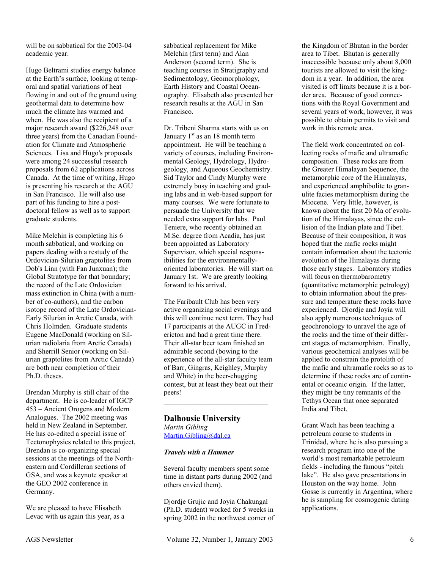will be on sabbatical for the 2003-04 academic year.

Hugo Beltrami studies energy balance at the Earth's surface, looking at temporal and spatial variations of heat flowing in and out of the ground using geothermal data to determine how much the climate has warmed and when. He was also the recipient of a major research award (\$226,248 over three years) from the Canadian Foundation for Climate and Atmospheric Sciences. Lisa and Hugo's proposals were among 24 successful research proposals from 62 applications across Canada. At the time of writing, Hugo is presenting his research at the AGU in San Francisco. He will also use part of his funding to hire a postdoctoral fellow as well as to support graduate students.

Mike Melchin is completing his 6 month sabbatical, and working on papers dealing with a restudy of the Ordovician-Silurian graptolites from Dob's Linn (with Fan Junxuan); the Global Stratotype for that boundary; the record of the Late Ordovician mass extinction in China (with a number of co-authors), and the carbon isotope record of the Late Ordovician-Early Silurian in Arctic Canada, with Chris Holmden. Graduate students Eugene MacDonald (working on Silurian radiolaria from Arctic Canada) and Sherrill Senior (working on Silurian graptolites from Arctic Canada) are both near completion of their Ph.D. theses.

Brendan Murphy is still chair of the department. He is co-leader of IGCP 453 – Ancient Orogens and Modern Analogues. The 2002 meeting was held in New Zealand in September. He has co-edited a special issue of Tectonophysics related to this project. Brendan is co-organizing special sessions at the meetings of the Northeastern and Cordilleran sections of GSA, and was a keynote speaker at the GEO 2002 conference in Germany.

We are pleased to have Elisabeth Levac with us again this year, as a

sabbatical replacement for Mike Melchin (first term) and Alan Anderson (second term). She is teaching courses in Stratigraphy and Sedimentology, Geomorphology, Earth History and Coastal Oceanography. Elisabeth also presented her research results at the AGU in San Francisco.

Dr. Tribeni Sharma starts with us on January  $1<sup>st</sup>$  as an 18 month term appointment. He will be teaching a variety of courses, including Environmental Geology, Hydrology, Hydrogeology, and Aqueous Geochemistry. Sid Taylor and Cindy Murphy were extremely busy in teaching and grading labs and in web-based support for many courses. We were fortunate to persuade the University that we needed extra support for labs. Paul Teniere, who recently obtained an M.Sc. degree from Acadia, has just been appointed as Laboratory Supervisor, which special responsibilities for the environmentallyoriented laboratories. He will start on January 1st. We are greatly looking forward to his arrival.

The Faribault Club has been very active organizing social evenings and this will continue next term. They had 17 participants at the AUGC in Fredericton and had a great time there. Their all-star beer team finished an admirable second (bowing to the experience of the all-star faculty team of Barr, Gingras, Keighley, Murphy and White) in the beer-chugging contest, but at least they beat out their peers!

\_\_\_\_\_\_\_\_\_\_\_\_\_\_\_\_\_\_\_\_\_\_\_\_\_\_\_\_\_

# **Dalhousie University**  *Martin Gibling*

Martin.Gibling@dal.ca

#### *Travels with a Hammer*

Several faculty members spent some time in distant parts during 2002 (and others envied them).

Djordje Grujic and Joyia Chakungal (Ph.D. student) worked for 5 weeks in spring 2002 in the northwest corner of

the Kingdom of Bhutan in the border area to Tibet. Bhutan is generally inaccessible because only about 8,000 tourists are allowed to visit the kingdom in a year. In addition, the area visited is off limits because it is a border area. Because of good connections with the Royal Government and several years of work, however, it was possible to obtain permits to visit and work in this remote area.

The field work concentrated on collecting rocks of mafic and ultramafic composition. These rocks are from the Greater Himalayan Sequence, the metamorphic core of the Himalayas, and experienced amphibolite to granulite facies metamorphism during the Miocene. Very little, however, is known about the first 20 Ma of evolution of the Himalayas, since the collision of the Indian plate and Tibet. Because of their composition, it was hoped that the mafic rocks might contain information about the tectonic evolution of the Himalayas during those early stages. Laboratory studies will focus on thermobarometry (quantitative metamorphic petrology) to obtain information about the pressure and temperature these rocks have experienced. Djordje and Joyia will also apply numerous techniques of geochronology to unravel the age of the rocks and the time of their different stages of metamorphism. Finally, various geochemical analyses will be applied to constrain the protolith of the mafic and ultramafic rocks so as to determine if these rocks are of continental or oceanic origin. If the latter, they might be tiny remnants of the Tethys Ocean that once separated India and Tibet.

Grant Wach has been teaching a petroleum course to students in Trinidad, where he is also pursuing a research program into one of the world's most remarkable petroleum fields - including the famous "pitch lake". He also gave presentations in Houston on the way home. John Gosse is currently in Argentina, where he is sampling for cosmogenic dating applications.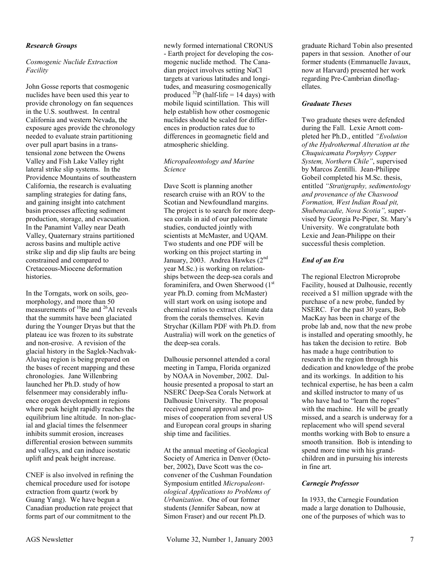#### *Research Groups*

#### *Cosmogenic Nuclide Extraction Facility*

John Gosse reports that cosmogenic nuclides have been used this year to provide chronology on fan sequences in the U.S. southwest. In central California and western Nevada, the exposure ages provide the chronology needed to evaluate strain partitioning over pull apart basins in a transtensional zone between the Owens Valley and Fish Lake Valley right lateral strike slip systems. In the Providence Mountains of southeastern California, the research is evaluating sampling strategies for dating fans, and gaining insight into catchment basin processes affecting sediment production, storage, and evacuation. In the Panamint Valley near Death Valley, Quaternary strains partitioned across basins and multiple active strike slip and dip slip faults are being constrained and compared to Cretaceous-Miocene deformation histories.

In the Torngats, work on soils, geomorphology, and more than 50 measurements of  $^{10}$ Be and  $^{26}$ Al reveals that the summits have been glaciated during the Younger Dryas but that the plateau ice was frozen to its substrate and non-erosive. A revision of the glacial history in the Saglek-Nachvak-Aluviaq region is being prepared on the bases of recent mapping and these chronologies. Jane Willenbring launched her Ph.D. study of how felsenmeer may considerably influence orogen development in regions where peak height rapidly reaches the equilibrium line altitude. In non-glacial and glacial times the felsenmeer inhibits summit erosion, increases differential erosion between summits and valleys, and can induce isostatic uplift and peak height increase.

CNEF is also involved in refining the chemical procedure used for isotope extraction from quartz (work by Guang Yang). We have begun a Canadian production rate project that forms part of our commitment to the

newly formed international CRONUS - Earth project for developing the cosmogenic nuclide method. The Canadian project involves setting NaCl targets at various latitudes and longitudes, and measuring cosmogenically produced  $^{32}P$  (half-life = 14 days) with mobile liquid scintillation. This will help establish how other cosmogenic nuclides should be scaled for differences in production rates due to differences in geomagnetic field and atmospheric shielding.

#### *Micropaleontology and Marine Science*

Dave Scott is planning another research cruise with an ROV to the Scotian and Newfoundland margins. The project is to search for more deepsea corals in aid of our paleoclimate studies, conducted jointly with scientists at McMaster, and UQAM. Two students and one PDF will be working on this project starting in January, 2003. Andrea Hawkes (2<sup>nd</sup> year M.Sc.) is working on relationships between the deep-sea corals and foraminifera, and Owen Sherwood (1<sup>st</sup>) year Ph.D. coming from McMaster) will start work on using isotope and chemical ratios to extract climate data from the corals themselves. Kevin Strychar (Killam PDF with Ph.D. from Australia) will work on the genetics of the deep-sea corals.

Dalhousie personnel attended a coral meeting in Tampa, Florida organized by NOAA in November, 2002. Dalhousie presented a proposal to start an NSERC Deep-Sea Corals Network at Dalhousie University. The proposal received general approval and promises of cooperation from several US and European coral groups in sharing ship time and facilities.

At the annual meeting of Geological Society of America in Denver (October, 2002), Dave Scott was the coconvener of the Cushman Foundation Symposium entitled *Micropaleontological Applications to Problems of Urbanization*. One of our former students (Jennifer Sabean, now at Simon Fraser) and our recent Ph.D.

graduate Richard Tobin also presented papers in that session. Another of our former students (Emmanuelle Javaux, now at Harvard) presented her work regarding Pre-Cambrian dinoflagellates.

#### *Graduate Theses*

Two graduate theses were defended during the Fall. Lexie Arnott completed her Ph.D., entitled *"Evolution of the Hydrothermal Alteration at the Chuquicamata Porphyry Copper System, Northern Chile"*, supervised by Marcos Zentilli. Jean-Philippe Gobeil completed his M.Sc. thesis, entitled *"Stratigraphy, sedimentology and provenance of the Chaswood Formation, West Indian Road pit, Shubenacadie, Nova Scotia",* supervised by Georgia Pe-Piper, St. Mary's University. We congratulate both Lexie and Jean-Philippe on their successful thesis completion.

#### *End of an Era*

The regional Electron Microprobe Facility, housed at Dalhousie, recently received a \$1 million upgrade with the purchase of a new probe, funded by NSERC. For the past 30 years, Bob MacKay has been in charge of the probe lab and, now that the new probe is installed and operating smoothly, he has taken the decision to retire. Bob has made a huge contribution to research in the region through his dedication and knowledge of the probe and its workings. In addition to his technical expertise, he has been a calm and skilled instructor to many of us who have had to "learn the ropes" with the machine. He will be greatly missed, and a search is underway for a replacement who will spend several months working with Bob to ensure a smooth transition. Bob is intending to spend more time with his grandchildren and in pursuing his interests in fine art.

#### *Carnegie Professor*

In 1933, the Carnegie Foundation made a large donation to Dalhousie, one of the purposes of which was to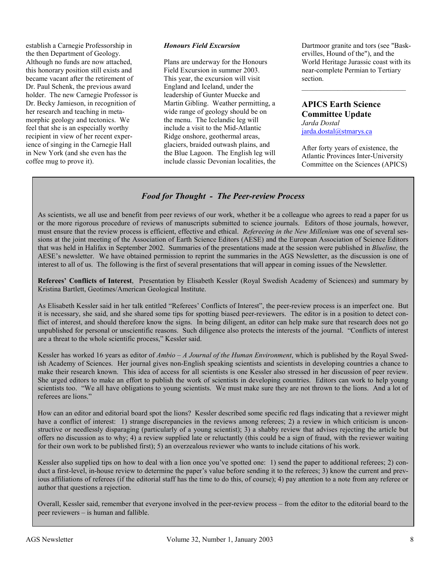establish a Carnegie Professorship in the then Department of Geology. Although no funds are now attached, this honorary position still exists and became vacant after the retirement of Dr. Paul Schenk, the previous award holder. The new Carnegie Professor is Dr. Becky Jamieson, in recognition of her research and teaching in metamorphic geology and tectonics. We feel that she is an especially worthy recipient in view of her recent experience of singing in the Carnegie Hall in New York (and she even has the coffee mug to prove it).

#### *Honours Field Excursion*

Plans are underway for the Honours Field Excursion in summer 2003. This year, the excursion will visit England and Iceland, under the leadership of Gunter Muecke and Martin Gibling. Weather permitting, a wide range of geology should be on the menu. The Icelandic leg will include a visit to the Mid-Atlantic Ridge onshore, geothermal areas, glaciers, braided outwash plains, and the Blue Lagoon. The English leg will include classic Devonian localities, the

Dartmoor granite and tors (see "Baskervilles, Hound of the"), and the World Heritage Jurassic coast with its near-complete Permian to Tertiary section.

\_\_\_\_\_\_\_\_\_\_\_\_\_\_\_\_\_\_\_\_\_\_\_\_\_\_\_\_\_

# **APICS Earth Science Committee Update**

*Jarda Dostal*  jarda.dostal@stmarys.ca

After forty years of existence, the Atlantic Provinces Inter-University Committee on the Sciences (APICS)

## *Food for Thought - The Peer-review Process*

As scientists, we all use and benefit from peer reviews of our work, whether it be a colleague who agrees to read a paper for us or the more rigorous procedure of reviews of manuscripts submitted to science journals. Editors of those journals, however, must ensure that the review process is efficient, effective and ethical. *Refereeing in the New Millenium* was one of several sessions at the joint meeting of the Association of Earth Science Editors (AESE) and the European Association of Science Editors that was held in Halifax in September 2002. Summaries of the presentations made at the session were published in *Blueline,* the AESE's newsletter. We have obtained permission to reprint the summaries in the AGS Newsletter, as the discussion is one of interest to all of us. The following is the first of several presentations that will appear in coming issues of the Newsletter.

**Referees' Conflicts of Interest**, Presentation by Elisabeth Kessler (Royal Swedish Academy of Sciences) and summary by Kristina Bartlett, Geotimes/American Geological Institute.

As Elisabeth Kessler said in her talk entitled "Referees' Conflicts of Interest", the peer-review process is an imperfect one. But it is necessary, she said, and she shared some tips for spotting biased peer-reviewers. The editor is in a position to detect conflict of interest, and should therefore know the signs. In being diligent, an editor can help make sure that research does not go unpublished for personal or unscientific reasons. Such diligence also protects the interests of the journal. "Conflicts of interest are a threat to the whole scientific process," Kessler said.

Kessler has worked 16 years as editor of *Ambio – A Journal of the Human Environment*, which is published by the Royal Swedish Academy of Sciences. Her journal gives non-English speaking scientists and scientists in developing countries a chance to make their research known. This idea of access for all scientists is one Kessler also stressed in her discussion of peer review. She urged editors to make an effort to publish the work of scientists in developing countries. Editors can work to help young scientists too. "We all have obligations to young scientists. We must make sure they are not thrown to the lions. And a lot of referees are lions."

How can an editor and editorial board spot the lions? Kessler described some specific red flags indicating that a reviewer might have a conflict of interest: 1) strange discrepancies in the reviews among referees; 2) a review in which criticism is unconstructive or needlessly disparaging (particularly of a young scientist); 3) a shabby review that advises rejecting the article but offers no discussion as to why; 4) a review supplied late or reluctantly (this could be a sign of fraud, with the reviewer waiting for their own work to be published first); 5) an overzealous reviewer who wants to include citations of his work.

Kessler also supplied tips on how to deal with a lion once you've spotted one: 1) send the paper to additional referees; 2) conduct a first-level, in-house review to determine the paper's value before sending it to the referees; 3) know the current and previous affiliations of referees (if the editorial staff has the time to do this, of course); 4) pay attention to a note from any referee or author that questions a rejection.

Overall, Kessler said, remember that everyone involved in the peer-review process – from the editor to the editorial board to the peer reviewers – is human and fallible.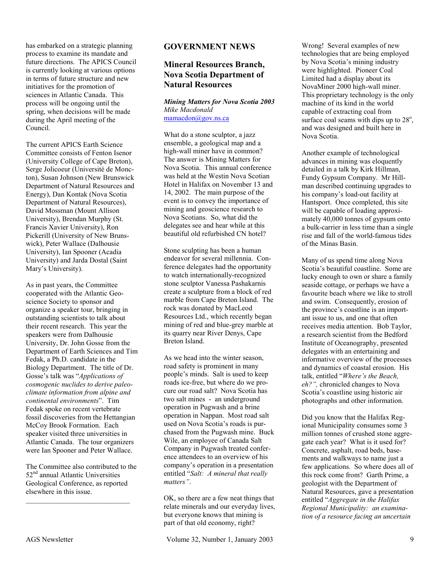has embarked on a strategic planning process to examine its mandate and future directions. The APICS Council is currently looking at various options in terms of future structure and new initiatives for the promotion of sciences in Atlantic Canada. This process will be ongoing until the spring, when decisions will be made during the April meeting of the Council.

The current APICS Earth Science Committee consists of Fenton Isenor (University College of Cape Breton), Serge Jolicoeur (Université de Moncton), Susan Johnson (New Brunswick Department of Natural Resources and Energy), Dan Kontak (Nova Scotia Department of Natural Resources), David Mossman (Mount Allison University), Brendan Murphy (St. Francis Xavier University), Ron Pickerill (University of New Brunswick), Peter Wallace (Dalhousie University), Ian Spooner (Acadia University) and Jarda Dostal (Saint Mary's University).

As in past years, the Committee cooperated with the Atlantic Geoscience Society to sponsor and organize a speaker tour, bringing in outstanding scientists to talk about their recent research. This year the speakers were from Dalhousie University, Dr. John Gosse from the Department of Earth Sciences and Tim Fedak, a Ph.D. candidate in the Biology Department. The title of Dr. Gosse's talk was "*Applications of cosmogenic nuclides to derive paleoclimate information from alpine and continental environments*". Tim Fedak spoke on recent vertebrate fossil discoveries from the Hettangian McCoy Brook Formation. Each speaker visited three universities in Atlantic Canada. The tour organizers were Ian Spooner and Peter Wallace.

The Committee also contributed to the 52<sup>nd</sup> annual Atlantic Universities Geological Conference, as reported elsewhere in this issue.

\_\_\_\_\_\_\_\_\_\_\_\_\_\_\_\_\_\_\_\_\_\_\_\_\_\_\_\_\_

#### **GOVERNMENT NEWS**

# **Mineral Resources Branch, Nova Scotia Department of Natural Resources**

*Mining Matters for Nova Scotia 2003 Mike Macdonald*  mamacdon@gov.ns.ca

What do a stone sculptor, a jazz ensemble, a geological map and a high-wall miner have in common? The answer is Mining Matters for Nova Scotia. This annual conference was held at the Westin Nova Scotian Hotel in Halifax on November 13 and 14, 2002. The main purpose of the event is to convey the importance of mining and geoscience research to Nova Scotians. So, what did the delegates see and hear while at this beautiful old refurbished CN hotel?

Stone sculpting has been a human endeavor for several millennia. Conference delegates had the opportunity to watch internationally-recognized stone sculptor Vanessa Pashakarnis create a sculpture from a block of red marble from Cape Breton Island. The rock was donated by MacLeod Resources Ltd., which recently began mining of red and blue-grey marble at its quarry near River Denys, Cape Breton Island.

As we head into the winter season, road safety is prominent in many people's minds. Salt is used to keep roads ice-free, but where do we procure our road salt? Nova Scotia has two salt mines - an underground operation in Pugwash and a brine operation in Nappan. Most road salt used on Nova Scotia's roads is purchased from the Pugwash mine. Buck Wile, an employee of Canada Salt Company in Pugwash treated conference attendees to an overview of his company's operation in a presentation entitled "*Salt: A mineral that really matters"*.

OK, so there are a few neat things that relate minerals and our everyday lives, but everyone knows that mining is part of that old economy, right?

AGS Newsletter  $V$ olume 32, Number 1, January 2003 9

Wrong! Several examples of new technologies that are being employed by Nova Scotia's mining industry were highlighted. Pioneer Coal Limited had a display about its NovaMiner 2000 high-wall miner. This proprietary technology is the only machine of its kind in the world capable of extracting coal from surface coal seams with dips up to  $28^\circ$ , and was designed and built here in Nova Scotia.

Another example of technological advances in mining was eloquently detailed in a talk by Kirk Hillman, Fundy Gypsum Company. Mr Hillman described continuing upgrades to his company's load-out facility at Hantsport. Once completed, this site will be capable of loading approximately 40,000 tonnes of gypsum onto a bulk-carrier in less time than a single rise and fall of the world-famous tides of the Minas Basin.

Many of us spend time along Nova Scotia's beautiful coastline. Some are lucky enough to own or share a family seaside cottage, or perhaps we have a favourite beach where we like to stroll and swim. Consequently, erosion of the province's coastline is an important issue to us, and one that often receives media attention. Bob Taylor, a research scientist from the Bedford Institute of Oceanography, presented delegates with an entertaining and informative overview of the processes and dynamics of coastal erosion. His talk, entitled "*Where's the Beach, eh?",* chronicled changes to Nova Scotia's coastline using historic air photographs and other information.

Did you know that the Halifax Regional Municipality consumes some 3 million tonnes of crushed stone aggregate each year? What is it used for? Concrete, asphalt, road beds, basements and walkways to name just a few applications. So where does all of this rock come from? Garth Prime, a geologist with the Department of Natural Resources, gave a presentation entitled "*Aggregate in the Halifax Regional Municipality: an examination of a resource facing an uncertain*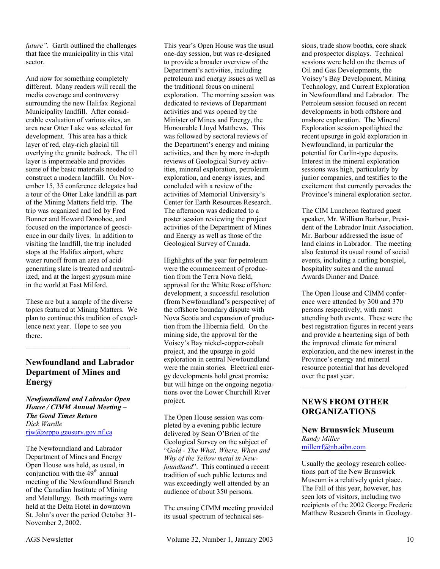*future"*. Garth outlined the challenges that face the municipality in this vital sector.

And now for something completely different. Many readers will recall the media coverage and controversy surrounding the new Halifax Regional Municipality landfill. After considerable evaluation of various sites, an area near Otter Lake was selected for development. This area has a thick layer of red, clay-rich glacial till overlying the granite bedrock. The till layer is impermeable and provides some of the basic materials needed to construct a modern landfill. On November 15, 35 conference delegates had a tour of the Otter Lake landfill as part of the Mining Matters field trip. The trip was organized and led by Fred Bonner and Howard Donohoe, and focused on the importance of geoscience in our daily lives. In addition to visiting the landfill, the trip included stops at the Halifax airport, where water runoff from an area of acidgenerating slate is treated and neutralized, and at the largest gypsum mine in the world at East Milford.

These are but a sample of the diverse topics featured at Mining Matters. We plan to continue this tradition of excellence next year. Hope to see you there.

# **Newfoundland and Labrador Department of Mines and Energy**

*Newfoundland and Labrador Open House / CIMM Annual Meeting – The Good Times Return Dick Wardle*  rjw@zeppo.geosurv.gov.nf.ca

The Newfoundland and Labrador Department of Mines and Energy Open House was held, as usual, in conjunction with the  $49<sup>th</sup>$  annual meeting of the Newfoundland Branch of the Canadian Institute of Mining and Metallurgy. Both meetings were held at the Delta Hotel in downtown St. John's over the period October 31- November 2, 2002.

This year's Open House was the usual one-day session, but was re-designed to provide a broader overview of the Department's activities, including petroleum and energy issues as well as the traditional focus on mineral exploration. The morning session was dedicated to reviews of Department activities and was opened by the Minister of Mines and Energy, the Honourable Lloyd Matthews. This was followed by sectoral reviews of the Department's energy and mining activities, and then by more in-depth reviews of Geological Survey activities, mineral exploration, petroleum exploration, and energy issues, and concluded with a review of the activities of Memorial University's Center for Earth Resources Research. The afternoon was dedicated to a poster session reviewing the project activities of the Department of Mines and Energy as well as those of the Geological Survey of Canada.

Highlights of the year for petroleum were the commencement of production from the Terra Nova field, approval for the White Rose offshore development, a successful resolution (from Newfoundland's perspective) of the offshore boundary dispute with Nova Scotia and expansion of production from the Hibernia field. On the mining side, the approval for the Voisey's Bay nickel-copper-cobalt project, and the upsurge in gold exploration in central Newfoundland were the main stories. Electrical energy developments hold great promise but will hinge on the ongoing negotiations over the Lower Churchill River project.

The Open House session was completed by a evening public lecture delivered by Sean O'Brien of the Geological Survey on the subject of "*Gold - The What, Where, When and Why of the Yellow metal in Newfoundland*". This continued a recent tradition of such public lectures and was exceedingly well attended by an audience of about 350 persons.

The ensuing CIMM meeting provided its usual spectrum of technical ses-

sions, trade show booths, core shack and prospector displays. Technical sessions were held on the themes of Oil and Gas Developments, the Voisey's Bay Development, Mining Technology, and Current Exploration in Newfoundland and Labrador. The Petroleum session focused on recent developments in both offshore and onshore exploration. The Mineral Exploration session spotlighted the recent upsurge in gold exploration in Newfoundland, in particular the potential for Carlin-type deposits. Interest in the mineral exploration sessions was high, particularly by junior companies, and testifies to the excitement that currently pervades the Province's mineral exploration sector.

The CIM Luncheon featured guest speaker, Mr. William Barbour, President of the Labrador Inuit Association. Mr. Barbour addressed the issue of land claims in Labrador. The meeting also featured its usual round of social events, including a curling bonspiel, hospitality suites and the annual Awards Dinner and Dance.

The Open House and CIMM conference were attended by 300 and 370 persons respectively, with most attending both events. These were the best registration figures in recent years and provide a heartening sign of both the improved climate for mineral exploration, and the new interest in the Province's energy and mineral resource potential that has developed over the past year.

## **NEWS FROM OTHER ORGANIZATIONS**

\_\_\_\_\_\_\_\_\_\_\_\_\_\_\_\_\_\_\_\_\_\_\_\_\_\_\_\_\_

#### **New Brunswick Museum**  *Randy Miller*  millerrf@nb.aibn.com

Usually the geology research collections part of the New Brunswick Museum is a relatively quiet place. The Fall of this year, however, has seen lots of visitors, including two recipients of the 2002 George Frederic Matthew Research Grants in Geology.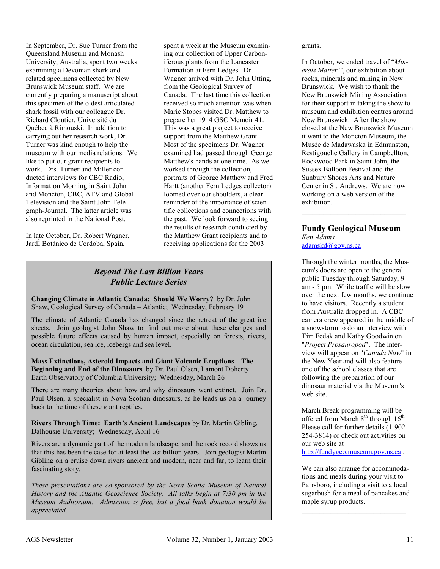In September, Dr. Sue Turner from the Queensland Museum and Monash University, Australia, spent two weeks examining a Devonian shark and related specimens collected by New Brunswick Museum staff. We are currently preparing a manuscript about this specimen of the oldest articulated shark fossil with our colleague Dr. Richard Cloutier, Université du Québec à Rimouski. In addition to carrying out her research work, Dr. Turner was kind enough to help the museum with our media relations. We like to put our grant recipients to work. Drs. Turner and Miller conducted interviews for CBC Radio, Information Morning in Saint John and Moncton, CBC, ATV and Global Television and the Saint John Telegraph-Journal. The latter article was also reprinted in the National Post.

In late October, Dr. Robert Wagner, JardÌ Botánico de Córdoba, Spain,

spent a week at the Museum examining our collection of Upper Carboniferous plants from the Lancaster Formation at Fern Ledges. Dr. Wagner arrived with Dr. John Utting, from the Geological Survey of Canada. The last time this collection received so much attention was when Marie Stopes visited Dr. Matthew to prepare her 1914 GSC Memoir 41. This was a great project to receive support from the Matthew Grant. Most of the specimens Dr. Wagner examined had passed through George Matthew's hands at one time. As we worked through the collection, portraits of George Matthew and Fred Hartt (another Fern Ledges collector) loomed over our shoulders, a clear reminder of the importance of scientific collections and connections with the past. We look forward to seeing the results of research conducted by the Matthew Grant recipients and to receiving applications for the 2003

# *Beyond The Last Billion Years Public Lecture Series*

**Changing Climate in Atlantic Canada: Should We Worry?** by Dr. John Shaw, Geological Survey of Canada – Atlantic; Wednesday, February 19

The climate of Atlantic Canada has changed since the retreat of the great ice sheets. Join geologist John Shaw to find out more about these changes and possible future effects caused by human impact, especially on forests, rivers, ocean circulation, sea ice, icebergs and sea level.

**Mass Extinctions, Asteroid Impacts and Giant Volcanic Eruptions – The Beginning and End of the Dinosaurs** by Dr. Paul Olsen, Lamont Doherty Earth Observatory of Columbia University; Wednesday, March 26

There are many theories about how and why dinosaurs went extinct. Join Dr. Paul Olsen, a specialist in Nova Scotian dinosaurs, as he leads us on a journey back to the time of these giant reptiles.

**Rivers Through Time: Earth's Ancient Landscapes** by Dr. Martin Gibling, Dalhousie University; Wednesday, April 16

Rivers are a dynamic part of the modern landscape, and the rock record shows us that this has been the case for at least the last billion years. Join geologist Martin Gibling on a cruise down rivers ancient and modern, near and far, to learn their fascinating story.

*These presentations are co-sponsored by the Nova Scotia Museum of Natural History and the Atlantic Geoscience Society. All talks begin at 7:30 pm in the Museum Auditorium. Admission is free, but a food bank donation would be appreciated.* 

grants.

In October, we ended travel of "*Minerals Matter"*', our exhibition about rocks, minerals and mining in New Brunswick. We wish to thank the New Brunswick Mining Association for their support in taking the show to museum and exhibition centres around New Brunswick. After the show closed at the New Brunswick Museum it went to the Moncton Museum, the Musée de Madawaska in Edmunston, Restigouche Gallery in Campbellton, Rockwood Park in Saint John, the Sussex Balloon Festival and the Sunbury Shores Arts and Nature Center in St. Andrews. We are now working on a web version of the exhibition.

#### **Fundy Geological Museum**  *Ken Adams*  adamskd@gov.ns.ca

Through the winter months, the Museum's doors are open to the general public Tuesday through Saturday, 9 am - 5 pm. While traffic will be slow over the next few months, we continue to have visitors. Recently a student from Australia dropped in. A CBC camera crew appeared in the middle of a snowstorm to do an interview with Tim Fedak and Kathy Goodwin on "*Project Prosauropod*". The interview will appear on "*Canada Now*" in the New Year and will also feature one of the school classes that are following the preparation of our dinosaur material via the Museum's web site.

March Break programming will be offered from March  $8<sup>th</sup>$  through  $16<sup>th</sup>$ Please call for further details (1-902- 254-3814) or check out activities on our web site at http://fundygeo.museum.gov.ns.ca .

We can also arrange for accommodations and meals during your visit to Parrsboro, including a visit to a local sugarbush for a meal of pancakes and maple syrup products.

 $\mathcal{L}_\text{max}$